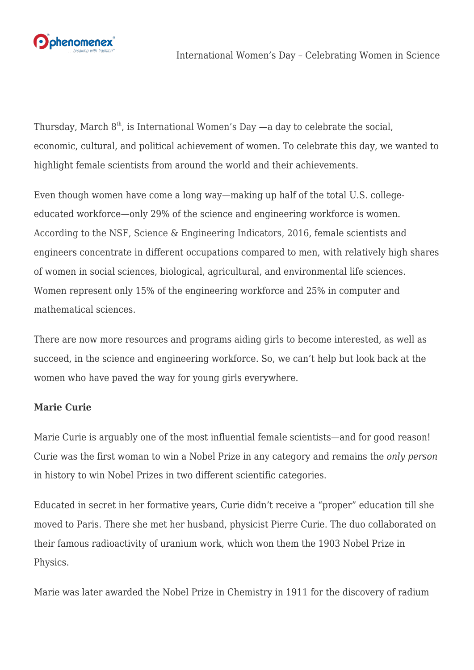

Thursday, March  $8<sup>th</sup>$ , is [International Women's Day](https://www.internationalwomensday.com/) —a day to celebrate the social, economic, cultural, and political achievement of women. To celebrate this day, we wanted to highlight female scientists from around the world and their achievements.

Even though women have come a long way—making up half of the total U.S. collegeeducated workforce—only 29% of the science and engineering workforce is women. [According to the NSF, Science & Engineering Indicators, 2016](https://nsf.gov/statistics/2016/nsb20161/#/), female scientists and engineers concentrate in different occupations compared to men, with relatively high shares of women in social sciences, biological, agricultural, and environmental life sciences. Women represent only 15% of the engineering workforce and 25% in computer and mathematical sciences.

There are now more resources and programs aiding girls to become interested, as well as succeed, in the science and engineering workforce. So, we can't help but look back at the women who have paved the way for young girls everywhere.

## **Marie Curie**

Marie Curie is arguably one of the most influential female scientists—and for good reason! Curie was the first woman to win a Nobel Prize in any category and remains the *only person* in history to win Nobel Prizes in two different scientific categories.

Educated in secret in her formative years, Curie didn't receive a "proper" education till she moved to Paris. There she met her husband, physicist Pierre Curie. The duo collaborated on their famous radioactivity of uranium work, which won them the 1903 Nobel Prize in Physics.

Marie was later awarded the Nobel Prize in Chemistry in 1911 for the discovery of radium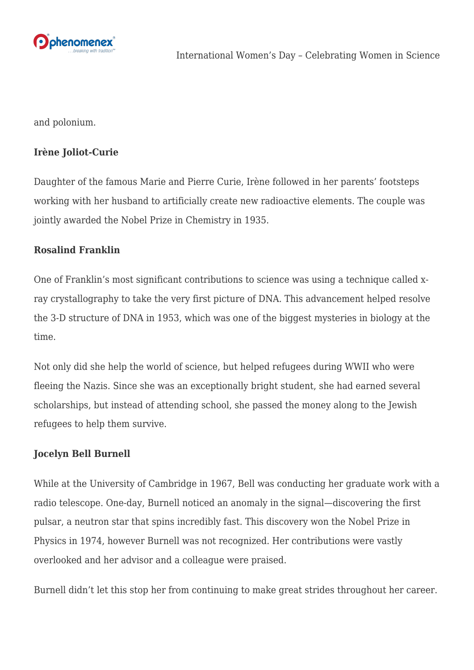

and polonium.

## **Irène Joliot-Curie**

Daughter of the famous Marie and Pierre Curie, Irène followed in her parents' footsteps working with her husband to artificially create new radioactive elements. The couple was jointly awarded the Nobel Prize in Chemistry in 1935.

## **Rosalind Franklin**

One of Franklin's most significant contributions to science was using a technique called xray crystallography to take the very first picture of DNA. This advancement helped resolve the 3-D structure of DNA in 1953, which was one of the biggest mysteries in biology at the time.

Not only did she help the world of science, but helped refugees during WWII who were fleeing the Nazis. Since she was an exceptionally bright student, she had earned several scholarships, but instead of attending school, she passed the money along to the Jewish refugees to help them survive.

## **Jocelyn Bell Burnell**

While at the University of Cambridge in 1967, Bell was conducting her graduate work with a radio telescope. One-day, Burnell noticed an anomaly in the signal—discovering the first pulsar, a neutron star that spins incredibly fast. This discovery won the Nobel Prize in Physics in 1974, however Burnell was not recognized. Her contributions were vastly overlooked and her advisor and a colleague were praised.

Burnell didn't let this stop her from continuing to make great strides throughout her career.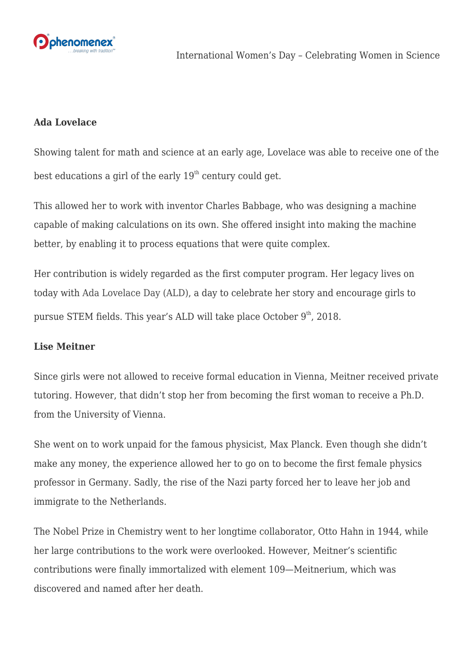

### **Ada Lovelace**

Showing talent for math and science at an early age, Lovelace was able to receive one of the best educations a girl of the early  $19<sup>th</sup>$  century could get.

This allowed her to work with inventor Charles Babbage, who was designing a machine capable of making calculations on its own. She offered insight into making the machine better, by enabling it to process equations that were quite complex.

Her contribution is widely regarded as the first computer program. Her legacy lives on today with [Ada Lovelace Day \(ALD\),](https://findingada.com/) a day to celebrate her story and encourage girls to pursue STEM fields. This year's ALD will take place October  $9<sup>th</sup>$ , 2018.

#### **Lise Meitner**

Since girls were not allowed to receive formal education in Vienna, Meitner received private tutoring. However, that didn't stop her from becoming the first woman to receive a Ph.D. from the University of Vienna.

She went on to work unpaid for the famous physicist, Max Planck. Even though she didn't make any money, the experience allowed her to go on to become the first female physics professor in Germany. Sadly, the rise of the Nazi party forced her to leave her job and immigrate to the Netherlands.

The Nobel Prize in Chemistry went to her longtime collaborator, Otto Hahn in 1944, while her large contributions to the work were overlooked. However, Meitner's scientific contributions were finally immortalized with element 109—Meitnerium, which was discovered and named after her death.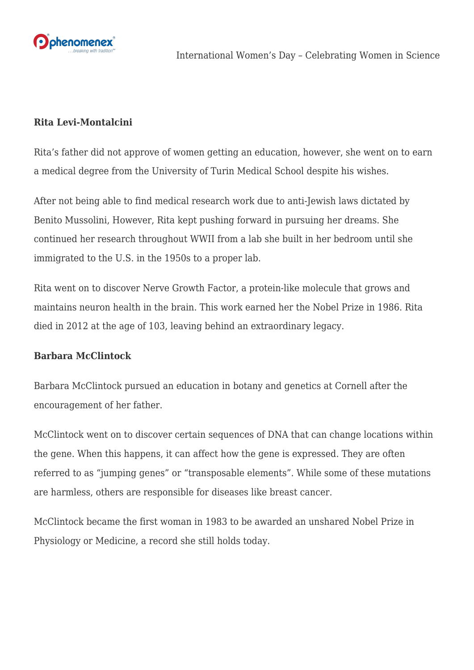

### **Rita Levi-Montalcini**

Rita's father did not approve of women getting an education, however, she went on to earn a medical degree from the University of Turin Medical School despite his wishes.

After not being able to find medical research work due to anti-Jewish laws dictated by Benito Mussolini, However, Rita kept pushing forward in pursuing her dreams. She continued her research throughout WWII from a lab she built in her bedroom until she immigrated to the U.S. in the 1950s to a proper lab.

Rita went on to discover Nerve Growth Factor, a protein-like molecule that grows and maintains neuron health in the brain. This work earned her the Nobel Prize in 1986. Rita died in 2012 at the age of 103, leaving behind an extraordinary legacy.

#### **Barbara McClintock**

Barbara McClintock pursued an education in botany and genetics at Cornell after the encouragement of her father.

McClintock went on to discover certain sequences of DNA that can change locations within the gene. When this happens, it can affect how the gene is expressed. They are often referred to as "jumping genes" or "transposable elements". While some of these mutations are harmless, others are responsible for diseases like breast cancer.

McClintock became the first woman in 1983 to be awarded an unshared Nobel Prize in Physiology or Medicine, a record she still holds today.